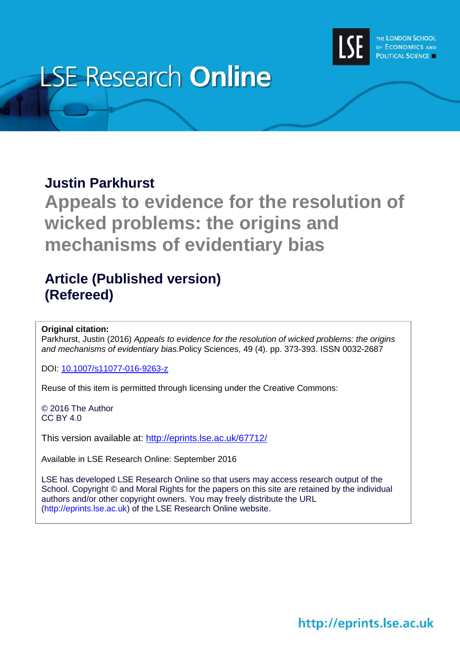

# **LSE Research Online**

## **Justin Parkhurst**

**Appeals to evidence for the resolution of wicked problems: the origins and mechanisms of evidentiary bias**

# **Article (Published version) (Refereed)**

### **Original citation:**

Parkhurst, Justin (2016) *Appeals to evidence for the resolution of wicked problems: the origins and mechanisms of evidentiary bias.*Policy Sciences, 49 (4). pp. 373-393. ISSN 0032-2687

DOI: [10.1007/s11077-016-9263-z](http://dx.doi.org/10.1007/s11077-016-9263-z)

Reuse of this item is permitted through licensing under the Creative Commons:

© 2016 The Author CC BY 4.0

This version available at: <http://eprints.lse.ac.uk/67712/>

Available in LSE Research Online: September 2016

LSE has developed LSE Research Online so that users may access research output of the School. Copyright © and Moral Rights for the papers on this site are retained by the individual authors and/or other copyright owners. You may freely distribute the URL (http://eprints.lse.ac.uk) of the LSE Research Online website.

http://eprints.lse.ac.uk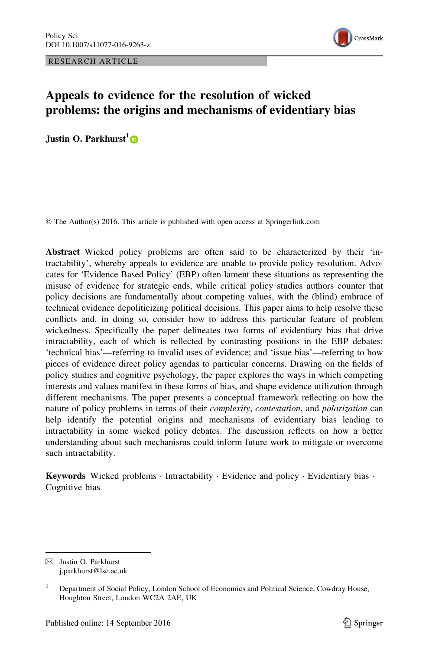RESEARCH ARTICLE



## Appeals to evidence for the resolution of wicked problems: the origins and mechanisms of evidentiary bias

Justin O. Parkhurst<sup>1</sup>

© The Author(s) 2016. This article is published with open access at Springerlink.com

Abstract Wicked policy problems are often said to be characterized by their 'intractability', whereby appeals to evidence are unable to provide policy resolution. Advocates for 'Evidence Based Policy' (EBP) often lament these situations as representing the misuse of evidence for strategic ends, while critical policy studies authors counter that policy decisions are fundamentally about competing values, with the (blind) embrace of technical evidence depoliticizing political decisions. This paper aims to help resolve these conflicts and, in doing so, consider how to address this particular feature of problem wickedness. Specifically the paper delineates two forms of evidentiary bias that drive intractability, each of which is reflected by contrasting positions in the EBP debates: 'technical bias'—referring to invalid uses of evidence; and 'issue bias'—referring to how pieces of evidence direct policy agendas to particular concerns. Drawing on the fields of policy studies and cognitive psychology, the paper explores the ways in which competing interests and values manifest in these forms of bias, and shape evidence utilization through different mechanisms. The paper presents a conceptual framework reflecting on how the nature of policy problems in terms of their *complexity*, *contestation*, and *polarization* can help identify the potential origins and mechanisms of evidentiary bias leading to intractability in some wicked policy debates. The discussion reflects on how a better understanding about such mechanisms could inform future work to mitigate or overcome such intractability.

Keywords Wicked problems · Intractability · Evidence and policy · Evidentiary bias · Cognitive bias

 $\boxtimes$  Justin O. Parkhurst j.parkhurst@lse.ac.uk

<sup>&</sup>lt;sup>1</sup> Department of Social Policy, London School of Economics and Political Science, Cowdray House, Houghton Street, London WC2A 2AE, UK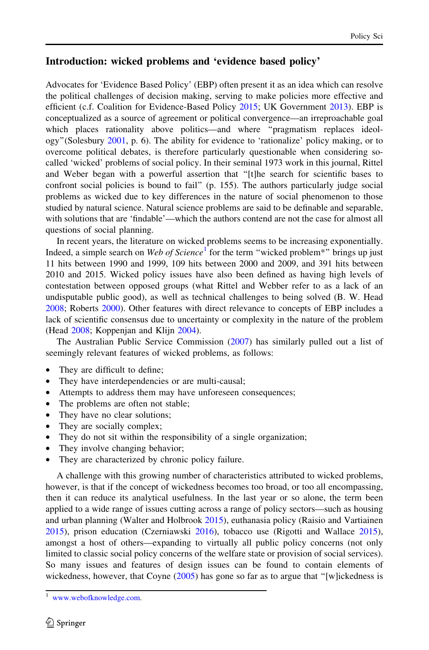#### Introduction: wicked problems and 'evidence based policy'

Advocates for 'Evidence Based Policy' (EBP) often present it as an idea which can resolve the political challenges of decision making, serving to make policies more effective and efficient (c.f. Coalition for Evidence-Based Policy [2015](#page-18-0); UK Government [2013\)](#page-21-0). EBP is conceptualized as a source of agreement or political convergence—an irreproachable goal which places rationality above politics—and where ''pragmatism replaces ideology''(Solesbury [2001](#page-21-0), p. 6). The ability for evidence to 'rationalize' policy making, or to overcome political debates, is therefore particularly questionable when considering socalled 'wicked' problems of social policy. In their seminal 1973 work in this journal, Rittel and Weber began with a powerful assertion that ''[t]he search for scientific bases to confront social policies is bound to fail'' (p. 155). The authors particularly judge social problems as wicked due to key differences in the nature of social phenomenon to those studied by natural science. Natural science problems are said to be definable and separable, with solutions that are 'findable'—which the authors contend are not the case for almost all questions of social planning.

In recent years, the literature on wicked problems seems to be increasing exponentially. Indeed, a simple search on Web of Science<sup>1</sup> for the term "wicked problem\*" brings up just 11 hits between 1990 and 1999, 109 hits between 2000 and 2009, and 391 hits between 2010 and 2015. Wicked policy issues have also been defined as having high levels of contestation between opposed groups (what Rittel and Webber refer to as a lack of an undisputable public good), as well as technical challenges to being solved (B. W. Head [2008;](#page-19-0) Roberts [2000](#page-20-0)). Other features with direct relevance to concepts of EBP includes a lack of scientific consensus due to uncertainty or complexity in the nature of the problem (Head [2008](#page-19-0); Koppenjan and Klijn [2004\)](#page-19-0).

The Australian Public Service Commission [\(2007](#page-18-0)) has similarly pulled out a list of seemingly relevant features of wicked problems, as follows:

- They are difficult to define;
- They have interdependencies or are multi-causal;
- Attempts to address them may have unforeseen consequences;
- The problems are often not stable;
- They have no clear solutions;
- They are socially complex;
- They do not sit within the responsibility of a single organization;
- They involve changing behavior;
- They are characterized by chronic policy failure.

A challenge with this growing number of characteristics attributed to wicked problems, however, is that if the concept of wickedness becomes too broad, or too all encompassing, then it can reduce its analytical usefulness. In the last year or so alone, the term been applied to a wide range of issues cutting across a range of policy sectors—such as housing and urban planning (Walter and Holbrook [2015\)](#page-21-0), euthanasia policy (Raisio and Vartiainen [2015\)](#page-20-0), prison education (Czerniawski [2016](#page-18-0)), tobacco use (Rigotti and Wallace [2015](#page-20-0)), amongst a host of others—expanding to virtually all public policy concerns (not only limited to classic social policy concerns of the welfare state or provision of social services). So many issues and features of design issues can be found to contain elements of wickedness, however, that Coyne ([2005\)](#page-18-0) has gone so far as to argue that "[w]ickedness is

<sup>1</sup> [www.webofknowledge.com](http://www.webofknowledge.com).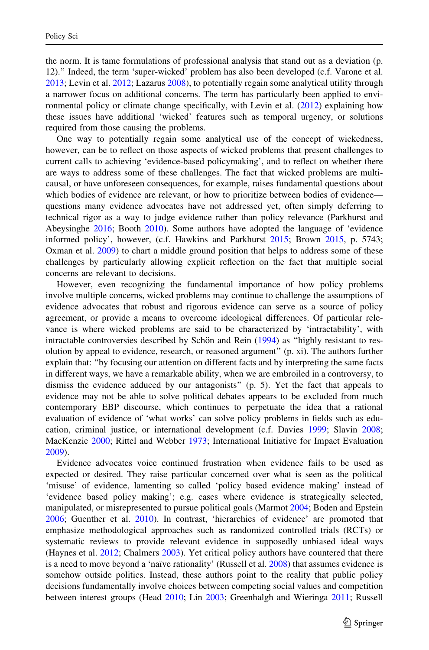the norm. It is tame formulations of professional analysis that stand out as a deviation (p. 12).'' Indeed, the term 'super-wicked' problem has also been developed (c.f. Varone et al. [2013;](#page-21-0) Levin et al. [2012](#page-20-0); Lazarus [2008](#page-20-0)), to potentially regain some analytical utility through a narrower focus on additional concerns. The term has particularly been applied to environmental policy or climate change specifically, with Levin et al. ([2012\)](#page-20-0) explaining how these issues have additional 'wicked' features such as temporal urgency, or solutions required from those causing the problems.

One way to potentially regain some analytical use of the concept of wickedness, however, can be to reflect on those aspects of wicked problems that present challenges to current calls to achieving 'evidence-based policymaking', and to reflect on whether there are ways to address some of these challenges. The fact that wicked problems are multicausal, or have unforeseen consequences, for example, raises fundamental questions about which bodies of evidence are relevant, or how to prioritize between bodies of evidence questions many evidence advocates have not addressed yet, often simply deferring to technical rigor as a way to judge evidence rather than policy relevance (Parkhurst and Abeysinghe [2016;](#page-20-0) Booth [2010](#page-18-0)). Some authors have adopted the language of 'evidence informed policy', however, (c.f. Hawkins and Parkhurst [2015;](#page-19-0) Brown [2015](#page-18-0), p. 5743; Oxman et al. [2009\)](#page-20-0) to chart a middle ground position that helps to address some of these challenges by particularly allowing explicit reflection on the fact that multiple social concerns are relevant to decisions.

However, even recognizing the fundamental importance of how policy problems involve multiple concerns, wicked problems may continue to challenge the assumptions of evidence advocates that robust and rigorous evidence can serve as a source of policy agreement, or provide a means to overcome ideological differences. Of particular relevance is where wicked problems are said to be characterized by 'intractability', with intractable controversies described by Schön and Rein  $(1994)$  as "highly resistant to resolution by appeal to evidence, research, or reasoned argument'' (p. xi). The authors further explain that: ''by focusing our attention on different facts and by interpreting the same facts in different ways, we have a remarkable ability, when we are embroiled in a controversy, to dismiss the evidence adduced by our antagonists'' (p. 5). Yet the fact that appeals to evidence may not be able to solve political debates appears to be excluded from much contemporary EBP discourse, which continues to perpetuate the idea that a rational evaluation of evidence of 'what works' can solve policy problems in fields such as education, criminal justice, or international development (c.f. Davies [1999;](#page-18-0) Slavin [2008;](#page-21-0) MacKenzie [2000;](#page-20-0) Rittel and Webber [1973](#page-20-0); International Initiative for Impact Evaluation [2009\)](#page-19-0).

Evidence advocates voice continued frustration when evidence fails to be used as expected or desired. They raise particular concerned over what is seen as the political 'misuse' of evidence, lamenting so called 'policy based evidence making' instead of 'evidence based policy making'; e.g. cases where evidence is strategically selected, manipulated, or misrepresented to pursue political goals (Marmot [2004](#page-20-0); Boden and Epstein [2006;](#page-18-0) Guenther et al. [2010](#page-19-0)). In contrast, 'hierarchies of evidence' are promoted that emphasize methodological approaches such as randomized controlled trials (RCTs) or systematic reviews to provide relevant evidence in supposedly unbiased ideal ways (Haynes et al. [2012](#page-19-0); Chalmers [2003\)](#page-18-0). Yet critical policy authors have countered that there is a need to move beyond a 'naïve rationality' (Russell et al. [2008\)](#page-21-0) that assumes evidence is somehow outside politics. Instead, these authors point to the reality that public policy decisions fundamentally involve choices between competing social values and competition between interest groups (Head [2010](#page-19-0); Lin [2003;](#page-20-0) Greenhalgh and Wieringa [2011;](#page-19-0) Russell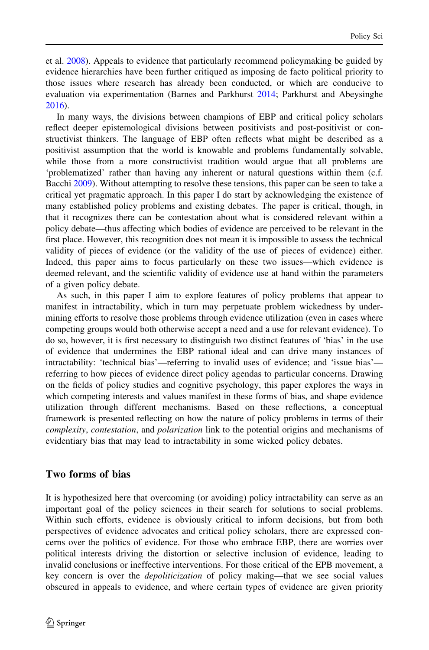et al. [2008](#page-21-0)). Appeals to evidence that particularly recommend policymaking be guided by evidence hierarchies have been further critiqued as imposing de facto political priority to those issues where research has already been conducted, or which are conducive to evaluation via experimentation (Barnes and Parkhurst [2014;](#page-18-0) Parkhurst and Abeysinghe [2016\)](#page-20-0).

In many ways, the divisions between champions of EBP and critical policy scholars reflect deeper epistemological divisions between positivists and post-positivist or constructivist thinkers. The language of EBP often reflects what might be described as a positivist assumption that the world is knowable and problems fundamentally solvable, while those from a more constructivist tradition would argue that all problems are 'problematized' rather than having any inherent or natural questions within them (c.f. Bacchi [2009](#page-18-0)). Without attempting to resolve these tensions, this paper can be seen to take a critical yet pragmatic approach. In this paper I do start by acknowledging the existence of many established policy problems and existing debates. The paper is critical, though, in that it recognizes there can be contestation about what is considered relevant within a policy debate—thus affecting which bodies of evidence are perceived to be relevant in the first place. However, this recognition does not mean it is impossible to assess the technical validity of pieces of evidence (or the validity of the use of pieces of evidence) either. Indeed, this paper aims to focus particularly on these two issues—which evidence is deemed relevant, and the scientific validity of evidence use at hand within the parameters of a given policy debate.

As such, in this paper I aim to explore features of policy problems that appear to manifest in intractability, which in turn may perpetuate problem wickedness by undermining efforts to resolve those problems through evidence utilization (even in cases where competing groups would both otherwise accept a need and a use for relevant evidence). To do so, however, it is first necessary to distinguish two distinct features of 'bias' in the use of evidence that undermines the EBP rational ideal and can drive many instances of intractability: 'technical bias'—referring to invalid uses of evidence; and 'issue bias' referring to how pieces of evidence direct policy agendas to particular concerns. Drawing on the fields of policy studies and cognitive psychology, this paper explores the ways in which competing interests and values manifest in these forms of bias, and shape evidence utilization through different mechanisms. Based on these reflections, a conceptual framework is presented reflecting on how the nature of policy problems in terms of their complexity, contestation, and polarization link to the potential origins and mechanisms of evidentiary bias that may lead to intractability in some wicked policy debates.

#### Two forms of bias

It is hypothesized here that overcoming (or avoiding) policy intractability can serve as an important goal of the policy sciences in their search for solutions to social problems. Within such efforts, evidence is obviously critical to inform decisions, but from both perspectives of evidence advocates and critical policy scholars, there are expressed concerns over the politics of evidence. For those who embrace EBP, there are worries over political interests driving the distortion or selective inclusion of evidence, leading to invalid conclusions or ineffective interventions. For those critical of the EPB movement, a key concern is over the *depoliticization* of policy making—that we see social values obscured in appeals to evidence, and where certain types of evidence are given priority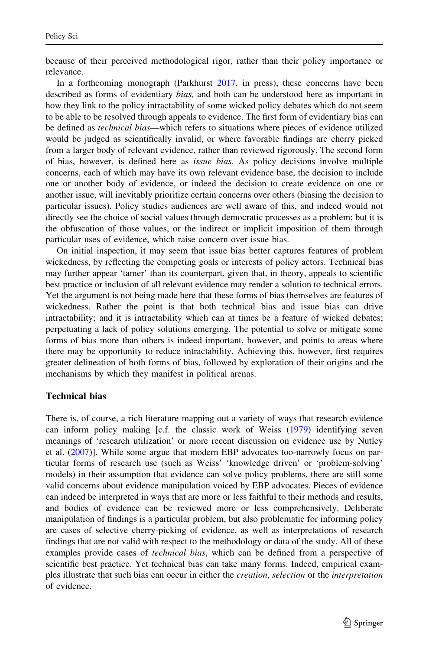because of their perceived methodological rigor, rather than their policy importance or relevance.

In a forthcoming monograph (Parkhurst [2017](#page-20-0), in press), these concerns have been described as forms of evidentiary *bias*, and both can be understood here as important in how they link to the policy intractability of some wicked policy debates which do not seem to be able to be resolved through appeals to evidence. The first form of evidentiary bias can be defined as *technical bias*—which refers to situations where pieces of evidence utilized would be judged as scientifically invalid, or where favorable findings are cherry picked from a larger body of relevant evidence, rather than reviewed rigorously. The second form of bias, however, is defined here as issue bias. As policy decisions involve multiple concerns, each of which may have its own relevant evidence base, the decision to include one or another body of evidence, or indeed the decision to create evidence on one or another issue, will inevitably prioritize certain concerns over others (biasing the decision to particular issues). Policy studies audiences are well aware of this, and indeed would not directly see the choice of social values through democratic processes as a problem; but it is the obfuscation of those values, or the indirect or implicit imposition of them through particular uses of evidence, which raise concern over issue bias.

On initial inspection, it may seem that issue bias better captures features of problem wickedness, by reflecting the competing goals or interests of policy actors. Technical bias may further appear 'tamer' than its counterpart, given that, in theory, appeals to scientific best practice or inclusion of all relevant evidence may render a solution to technical errors. Yet the argument is not being made here that these forms of bias themselves are features of wickedness. Rather the point is that both technical bias and issue bias can drive intractability; and it is intractability which can at times be a feature of wicked debates; perpetuating a lack of policy solutions emerging. The potential to solve or mitigate some forms of bias more than others is indeed important, however, and points to areas where there may be opportunity to reduce intractability. Achieving this, however, first requires greater delineation of both forms of bias, followed by exploration of their origins and the mechanisms by which they manifest in political arenas.

#### Technical bias

There is, of course, a rich literature mapping out a variety of ways that research evidence can inform policy making [c.f. the classic work of Weiss ([1979\)](#page-21-0) identifying seven meanings of 'research utilization' or more recent discussion on evidence use by Nutley et al. ([2007](#page-20-0))]. While some argue that modern EBP advocates too-narrowly focus on particular forms of research use (such as Weiss' 'knowledge driven' or 'problem-solving' models) in their assumption that evidence can solve policy problems, there are still some valid concerns about evidence manipulation voiced by EBP advocates. Pieces of evidence can indeed be interpreted in ways that are more or less faithful to their methods and results, and bodies of evidence can be reviewed more or less comprehensively. Deliberate manipulation of findings is a particular problem, but also problematic for informing policy are cases of selective cherry-picking of evidence, as well as interpretations of research findings that are not valid with respect to the methodology or data of the study. All of these examples provide cases of *technical bias*, which can be defined from a perspective of scientific best practice. Yet technical bias can take many forms. Indeed, empirical examples illustrate that such bias can occur in either the creation, selection or the interpretation of evidence.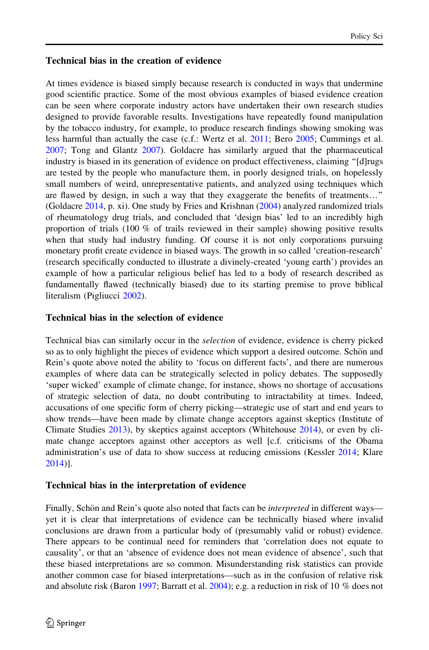#### Technical bias in the creation of evidence

At times evidence is biased simply because research is conducted in ways that undermine good scientific practice. Some of the most obvious examples of biased evidence creation can be seen where corporate industry actors have undertaken their own research studies designed to provide favorable results. Investigations have repeatedly found manipulation by the tobacco industry, for example, to produce research findings showing smoking was less harmful than actually the case (c.f.: Wertz et al. [2011](#page-21-0); Bero [2005](#page-18-0); Cummings et al. [2007;](#page-18-0) Tong and Glantz [2007](#page-21-0)). Goldacre has similarly argued that the pharmaceutical industry is biased in its generation of evidence on product effectiveness, claiming ''[d]rugs are tested by the people who manufacture them, in poorly designed trials, on hopelessly small numbers of weird, unrepresentative patients, and analyzed using techniques which are flawed by design, in such a way that they exaggerate the benefits of treatments…'' (Goldacre [2014](#page-19-0), p. xi). One study by Fries and Krishnan ([2004\)](#page-19-0) analyzed randomized trials of rheumatology drug trials, and concluded that 'design bias' led to an incredibly high proportion of trials (100 % of trails reviewed in their sample) showing positive results when that study had industry funding. Of course it is not only corporations pursuing monetary profit create evidence in biased ways. The growth in so called 'creation-research' (research specifically conducted to illustrate a divinely-created 'young earth') provides an example of how a particular religious belief has led to a body of research described as fundamentally flawed (technically biased) due to its starting premise to prove biblical literalism (Pigliucci [2002\)](#page-20-0).

#### Technical bias in the selection of evidence

Technical bias can similarly occur in the selection of evidence, evidence is cherry picked so as to only highlight the pieces of evidence which support a desired outcome. Schön and Rein's quote above noted the ability to 'focus on different facts', and there are numerous examples of where data can be strategically selected in policy debates. The supposedly 'super wicked' example of climate change, for instance, shows no shortage of accusations of strategic selection of data, no doubt contributing to intractability at times. Indeed, accusations of one specific form of cherry picking—strategic use of start and end years to show trends—have been made by climate change acceptors against skeptics (Institute of Climate Studies [2013](#page-19-0)), by skeptics against acceptors (Whitehouse [2014\)](#page-21-0), or even by climate change acceptors against other acceptors as well [c.f. criticisms of the Obama administration's use of data to show success at reducing emissions (Kessler [2014](#page-19-0); Klare [2014\)](#page-19-0)].

#### Technical bias in the interpretation of evidence

Finally, Schön and Rein's quote also noted that facts can be *interpreted* in different ways yet it is clear that interpretations of evidence can be technically biased where invalid conclusions are drawn from a particular body of (presumably valid or robust) evidence. There appears to be continual need for reminders that 'correlation does not equate to causality', or that an 'absence of evidence does not mean evidence of absence', such that these biased interpretations are so common. Misunderstanding risk statistics can provide another common case for biased interpretations—such as in the confusion of relative risk and absolute risk (Baron [1997](#page-18-0); Barratt et al. [2004\)](#page-18-0); e.g. a reduction in risk of 10 % does not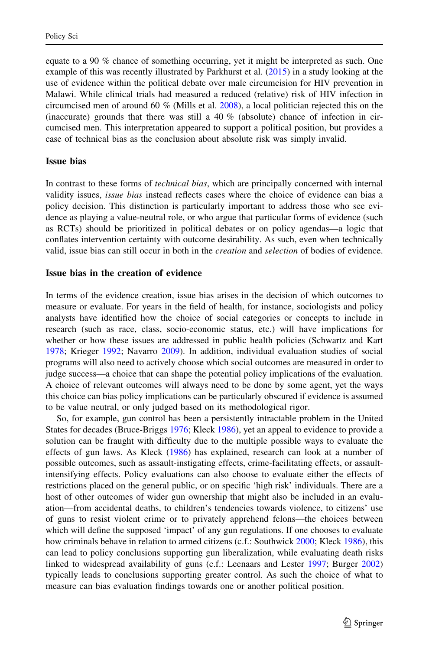equate to a 90 % chance of something occurring, yet it might be interpreted as such. One example of this was recently illustrated by Parkhurst et al. [\(2015](#page-20-0)) in a study looking at the use of evidence within the political debate over male circumcision for HIV prevention in Malawi. While clinical trials had measured a reduced (relative) risk of HIV infection in circumcised men of around 60 % (Mills et al. [2008](#page-20-0)), a local politician rejected this on the (inaccurate) grounds that there was still a  $40\%$  (absolute) chance of infection in circumcised men. This interpretation appeared to support a political position, but provides a case of technical bias as the conclusion about absolute risk was simply invalid.

#### Issue bias

In contrast to these forms of technical bias, which are principally concerned with internal validity issues, issue bias instead reflects cases where the choice of evidence can bias a policy decision. This distinction is particularly important to address those who see evidence as playing a value-neutral role, or who argue that particular forms of evidence (such as RCTs) should be prioritized in political debates or on policy agendas—a logic that conflates intervention certainty with outcome desirability. As such, even when technically valid, issue bias can still occur in both in the creation and selection of bodies of evidence.

#### Issue bias in the creation of evidence

In terms of the evidence creation, issue bias arises in the decision of which outcomes to measure or evaluate. For years in the field of health, for instance, sociologists and policy analysts have identified how the choice of social categories or concepts to include in research (such as race, class, socio-economic status, etc.) will have implications for whether or how these issues are addressed in public health policies (Schwartz and Kart [1978;](#page-21-0) Krieger [1992;](#page-19-0) Navarro [2009](#page-20-0)). In addition, individual evaluation studies of social programs will also need to actively choose which social outcomes are measured in order to judge success—a choice that can shape the potential policy implications of the evaluation. A choice of relevant outcomes will always need to be done by some agent, yet the ways this choice can bias policy implications can be particularly obscured if evidence is assumed to be value neutral, or only judged based on its methodological rigor.

So, for example, gun control has been a persistently intractable problem in the United States for decades (Bruce-Briggs [1976;](#page-18-0) Kleck [1986\)](#page-19-0), yet an appeal to evidence to provide a solution can be fraught with difficulty due to the multiple possible ways to evaluate the effects of gun laws. As Kleck ([1986\)](#page-19-0) has explained, research can look at a number of possible outcomes, such as assault-instigating effects, crime-facilitating effects, or assaultintensifying effects. Policy evaluations can also choose to evaluate either the effects of restrictions placed on the general public, or on specific 'high risk' individuals. There are a host of other outcomes of wider gun ownership that might also be included in an evaluation—from accidental deaths, to children's tendencies towards violence, to citizens' use of guns to resist violent crime or to privately apprehend felons—the choices between which will define the supposed 'impact' of any gun regulations. If one chooses to evaluate how criminals behave in relation to armed citizens (c.f.: Southwick [2000](#page-21-0); Kleck [1986](#page-19-0)), this can lead to policy conclusions supporting gun liberalization, while evaluating death risks linked to widespread availability of guns (c.f.: Leenaars and Lester [1997](#page-20-0); Burger [2002](#page-18-0)) typically leads to conclusions supporting greater control. As such the choice of what to measure can bias evaluation findings towards one or another political position.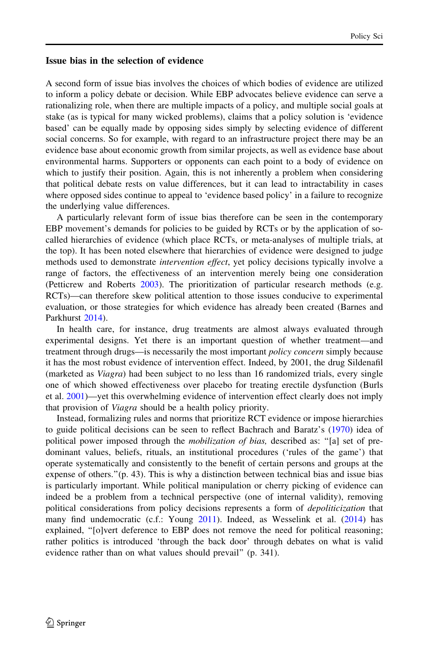#### Issue bias in the selection of evidence

A second form of issue bias involves the choices of which bodies of evidence are utilized to inform a policy debate or decision. While EBP advocates believe evidence can serve a rationalizing role, when there are multiple impacts of a policy, and multiple social goals at stake (as is typical for many wicked problems), claims that a policy solution is 'evidence based' can be equally made by opposing sides simply by selecting evidence of different social concerns. So for example, with regard to an infrastructure project there may be an evidence base about economic growth from similar projects, as well as evidence base about environmental harms. Supporters or opponents can each point to a body of evidence on which to justify their position. Again, this is not inherently a problem when considering that political debate rests on value differences, but it can lead to intractability in cases where opposed sides continue to appeal to 'evidence based policy' in a failure to recognize the underlying value differences.

A particularly relevant form of issue bias therefore can be seen in the contemporary EBP movement's demands for policies to be guided by RCTs or by the application of socalled hierarchies of evidence (which place RCTs, or meta-analyses of multiple trials, at the top). It has been noted elsewhere that hierarchies of evidence were designed to judge methods used to demonstrate *intervention effect*, yet policy decisions typically involve a range of factors, the effectiveness of an intervention merely being one consideration (Petticrew and Roberts [2003\)](#page-20-0). The prioritization of particular research methods (e.g. RCTs)—can therefore skew political attention to those issues conducive to experimental evaluation, or those strategies for which evidence has already been created (Barnes and Parkhurst [2014](#page-18-0)).

In health care, for instance, drug treatments are almost always evaluated through experimental designs. Yet there is an important question of whether treatment—and treatment through drugs—is necessarily the most important *policy concern* simply because it has the most robust evidence of intervention effect. Indeed, by 2001, the drug Sildenafil (marketed as Viagra) had been subject to no less than 16 randomized trials, every single one of which showed effectiveness over placebo for treating erectile dysfunction (Burls et al. [2001](#page-18-0))—yet this overwhelming evidence of intervention effect clearly does not imply that provision of Viagra should be a health policy priority.

Instead, formalizing rules and norms that prioritize RCT evidence or impose hierarchies to guide political decisions can be seen to reflect Bachrach and Baratz's ([1970](#page-18-0)) idea of political power imposed through the *mobilization of bias*, described as: "[a] set of predominant values, beliefs, rituals, an institutional procedures ('rules of the game') that operate systematically and consistently to the benefit of certain persons and groups at the expense of others." $(p. 43)$ . This is why a distinction between technical bias and issue bias is particularly important. While political manipulation or cherry picking of evidence can indeed be a problem from a technical perspective (one of internal validity), removing political considerations from policy decisions represents a form of *depoliticization* that many find undemocratic (c.f.: Young [2011](#page-21-0)). Indeed, as Wesselink et al. ([2014\)](#page-21-0) has explained, "[o]vert deference to EBP does not remove the need for political reasoning; rather politics is introduced 'through the back door' through debates on what is valid evidence rather than on what values should prevail'' (p. 341).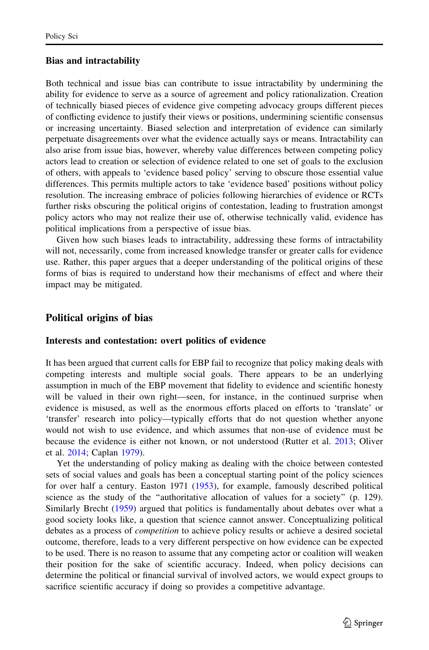#### Bias and intractability

Both technical and issue bias can contribute to issue intractability by undermining the ability for evidence to serve as a source of agreement and policy rationalization. Creation of technically biased pieces of evidence give competing advocacy groups different pieces of conflicting evidence to justify their views or positions, undermining scientific consensus or increasing uncertainty. Biased selection and interpretation of evidence can similarly perpetuate disagreements over what the evidence actually says or means. Intractability can also arise from issue bias, however, whereby value differences between competing policy actors lead to creation or selection of evidence related to one set of goals to the exclusion of others, with appeals to 'evidence based policy' serving to obscure those essential value differences. This permits multiple actors to take 'evidence based' positions without policy resolution. The increasing embrace of policies following hierarchies of evidence or RCTs further risks obscuring the political origins of contestation, leading to frustration amongst policy actors who may not realize their use of, otherwise technically valid, evidence has political implications from a perspective of issue bias.

Given how such biases leads to intractability, addressing these forms of intractability will not, necessarily, come from increased knowledge transfer or greater calls for evidence use. Rather, this paper argues that a deeper understanding of the political origins of these forms of bias is required to understand how their mechanisms of effect and where their impact may be mitigated.

#### Political origins of bias

#### Interests and contestation: overt politics of evidence

It has been argued that current calls for EBP fail to recognize that policy making deals with competing interests and multiple social goals. There appears to be an underlying assumption in much of the EBP movement that fidelity to evidence and scientific honesty will be valued in their own right—seen, for instance, in the continued surprise when evidence is misused, as well as the enormous efforts placed on efforts to 'translate' or 'transfer' research into policy—typically efforts that do not question whether anyone would not wish to use evidence, and which assumes that non-use of evidence must be because the evidence is either not known, or not understood (Rutter et al. [2013](#page-21-0); Oliver et al. [2014](#page-20-0); Caplan [1979\)](#page-18-0).

Yet the understanding of policy making as dealing with the choice between contested sets of social values and goals has been a conceptual starting point of the policy sciences for over half a century. Easton 1971 ([1953\)](#page-18-0), for example, famously described political science as the study of the ''authoritative allocation of values for a society'' (p. 129). Similarly Brecht ([1959](#page-18-0)) argued that politics is fundamentally about debates over what a good society looks like, a question that science cannot answer. Conceptualizing political debates as a process of competition to achieve policy results or achieve a desired societal outcome, therefore, leads to a very different perspective on how evidence can be expected to be used. There is no reason to assume that any competing actor or coalition will weaken their position for the sake of scientific accuracy. Indeed, when policy decisions can determine the political or financial survival of involved actors, we would expect groups to sacrifice scientific accuracy if doing so provides a competitive advantage.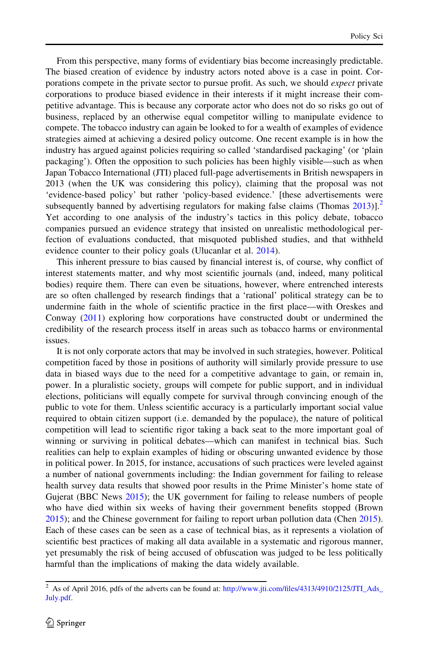From this perspective, many forms of evidentiary bias become increasingly predictable. The biased creation of evidence by industry actors noted above is a case in point. Corporations compete in the private sector to pursue profit. As such, we should *expect* private corporations to produce biased evidence in their interests if it might increase their competitive advantage. This is because any corporate actor who does not do so risks go out of business, replaced by an otherwise equal competitor willing to manipulate evidence to compete. The tobacco industry can again be looked to for a wealth of examples of evidence strategies aimed at achieving a desired policy outcome. One recent example is in how the industry has argued against policies requiring so called 'standardised packaging' (or 'plain packaging'). Often the opposition to such policies has been highly visible—such as when Japan Tobacco International (JTI) placed full-page advertisements in British newspapers in 2013 (when the UK was considering this policy), claiming that the proposal was not 'evidence-based policy' but rather 'policy-based evidence.' [these advertisements were subsequently banned by advertising regulators for making false claims (Thomas  $2013$ )].<sup>2</sup> Yet according to one analysis of the industry's tactics in this policy debate, tobacco companies pursued an evidence strategy that insisted on unrealistic methodological perfection of evaluations conducted, that misquoted published studies, and that withheld evidence counter to their policy goals (Ulucanlar et al. [2014\)](#page-21-0).

This inherent pressure to bias caused by financial interest is, of course, why conflict of interest statements matter, and why most scientific journals (and, indeed, many political bodies) require them. There can even be situations, however, where entrenched interests are so often challenged by research findings that a 'rational' political strategy can be to undermine faith in the whole of scientific practice in the first place—with Oreskes and Conway ([2011](#page-20-0)) exploring how corporations have constructed doubt or undermined the credibility of the research process itself in areas such as tobacco harms or environmental issues.

It is not only corporate actors that may be involved in such strategies, however. Political competition faced by those in positions of authority will similarly provide pressure to use data in biased ways due to the need for a competitive advantage to gain, or remain in, power. In a pluralistic society, groups will compete for public support, and in individual elections, politicians will equally compete for survival through convincing enough of the public to vote for them. Unless scientific accuracy is a particularly important social value required to obtain citizen support (i.e. demanded by the populace), the nature of political competition will lead to scientific rigor taking a back seat to the more important goal of winning or surviving in political debates—which can manifest in technical bias. Such realities can help to explain examples of hiding or obscuring unwanted evidence by those in political power. In 2015, for instance, accusations of such practices were leveled against a number of national governments including: the Indian government for failing to release health survey data results that showed poor results in the Prime Minister's home state of Gujerat (BBC News [2015\)](#page-18-0); the UK government for failing to release numbers of people who have died within six weeks of having their government benefits stopped (Brown [2015\)](#page-18-0); and the Chinese government for failing to report urban pollution data (Chen [2015](#page-18-0)). Each of these cases can be seen as a case of technical bias, as it represents a violation of scientific best practices of making all data available in a systematic and rigorous manner, yet presumably the risk of being accused of obfuscation was judged to be less politically harmful than the implications of making the data widely available.

<sup>&</sup>lt;sup>2</sup> As of April 2016, pdfs of the adverts can be found at: [http://www.jti.com/files/4313/4910/2125/JTI\\_Ads\\_](http://www.jti.com/files/4313/4910/2125/JTI_Ads_July.pdf) [July.pdf.](http://www.jti.com/files/4313/4910/2125/JTI_Ads_July.pdf)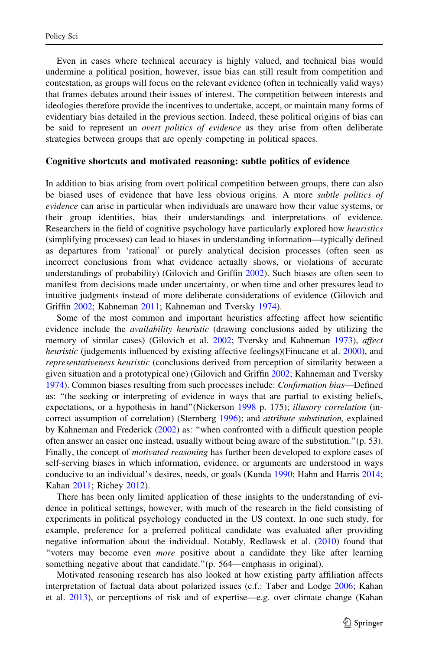Even in cases where technical accuracy is highly valued, and technical bias would undermine a political position, however, issue bias can still result from competition and contestation, as groups will focus on the relevant evidence (often in technically valid ways) that frames debates around their issues of interest. The competition between interests and ideologies therefore provide the incentives to undertake, accept, or maintain many forms of evidentiary bias detailed in the previous section. Indeed, these political origins of bias can be said to represent an *overt politics of evidence* as they arise from often deliberate strategies between groups that are openly competing in political spaces.

#### Cognitive shortcuts and motivated reasoning: subtle politics of evidence

In addition to bias arising from overt political competition between groups, there can also be biased uses of evidence that have less obvious origins. A more *subtle politics of* evidence can arise in particular when individuals are unaware how their value systems, or their group identities, bias their understandings and interpretations of evidence. Researchers in the field of cognitive psychology have particularly explored how *heuristics* (simplifying processes) can lead to biases in understanding information—typically defined as departures from 'rational' or purely analytical decision processes (often seen as incorrect conclusions from what evidence actually shows, or violations of accurate understandings of probability) (Gilovich and Griffin [2002\)](#page-19-0). Such biases are often seen to manifest from decisions made under uncertainty, or when time and other pressures lead to intuitive judgments instead of more deliberate considerations of evidence (Gilovich and Griffin [2002;](#page-19-0) Kahneman [2011;](#page-19-0) Kahneman and Tversky [1974\)](#page-19-0).

Some of the most common and important heuristics affecting affect how scientific evidence include the *availability heuristic* (drawing conclusions aided by utilizing the memory of similar cases) (Gilovich et al. [2002](#page-19-0); Tversky and Kahneman [1973\)](#page-21-0), affect heuristic (judgements influenced by existing affective feelings)(Finucane et al. [2000\)](#page-19-0), and representativeness heuristic (conclusions derived from perception of similarity between a given situation and a prototypical one) (Gilovich and Griffin [2002](#page-19-0); Kahneman and Tversky [1974\)](#page-19-0). Common biases resulting from such processes include: Confirmation bias—Defined as: ''the seeking or interpreting of evidence in ways that are partial to existing beliefs, expectations, or a hypothesis in hand" (Nickerson [1998](#page-20-0) p. 175); *illusory correlation* (in-correct assumption of correlation) (Sternberg [1996\)](#page-21-0); and *attribute substitution*, explained by Kahneman and Frederick ([2002\)](#page-19-0) as: ''when confronted with a difficult question people often answer an easier one instead, usually without being aware of the substitution.''(p. 53). Finally, the concept of motivated reasoning has further been developed to explore cases of self-serving biases in which information, evidence, or arguments are understood in ways conducive to an individual's desires, needs, or goals (Kunda [1990;](#page-20-0) Hahn and Harris [2014;](#page-19-0) Kahan [2011;](#page-19-0) Richey [2012](#page-20-0)).

There has been only limited application of these insights to the understanding of evidence in political settings, however, with much of the research in the field consisting of experiments in political psychology conducted in the US context. In one such study, for example, preference for a preferred political candidate was evaluated after providing negative information about the individual. Notably, Redlawsk et al. ([2010\)](#page-20-0) found that ''voters may become even more positive about a candidate they like after learning something negative about that candidate."(p. 564—emphasis in original).

Motivated reasoning research has also looked at how existing party affiliation affects interpretation of factual data about polarized issues (c.f.: Taber and Lodge [2006;](#page-21-0) Kahan et al. [2013\)](#page-19-0), or perceptions of risk and of expertise—e.g. over climate change (Kahan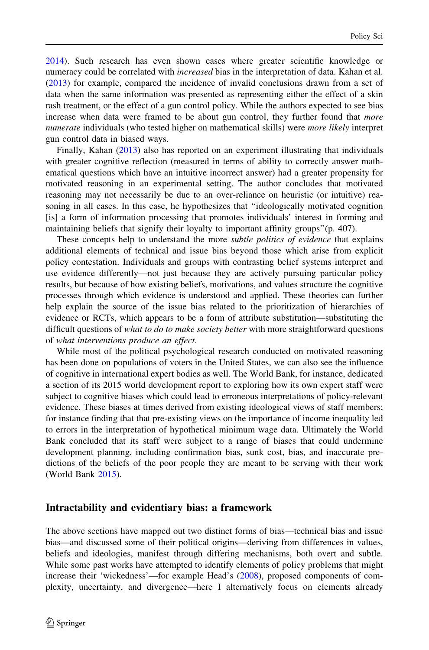[2014\)](#page-19-0). Such research has even shown cases where greater scientific knowledge or numeracy could be correlated with *increased* bias in the interpretation of data. Kahan et al. ([2013\)](#page-19-0) for example, compared the incidence of invalid conclusions drawn from a set of data when the same information was presented as representing either the effect of a skin rash treatment, or the effect of a gun control policy. While the authors expected to see bias increase when data were framed to be about gun control, they further found that more numerate individuals (who tested higher on mathematical skills) were *more likely* interpret gun control data in biased ways.

Finally, Kahan ([2013\)](#page-19-0) also has reported on an experiment illustrating that individuals with greater cognitive reflection (measured in terms of ability to correctly answer mathematical questions which have an intuitive incorrect answer) had a greater propensity for motivated reasoning in an experimental setting. The author concludes that motivated reasoning may not necessarily be due to an over-reliance on heuristic (or intuitive) reasoning in all cases. In this case, he hypothesizes that ''ideologically motivated cognition [is] a form of information processing that promotes individuals' interest in forming and maintaining beliefs that signify their loyalty to important affinity groups''(p. 407).

These concepts help to understand the more *subtle politics of evidence* that explains additional elements of technical and issue bias beyond those which arise from explicit policy contestation. Individuals and groups with contrasting belief systems interpret and use evidence differently—not just because they are actively pursuing particular policy results, but because of how existing beliefs, motivations, and values structure the cognitive processes through which evidence is understood and applied. These theories can further help explain the source of the issue bias related to the prioritization of hierarchies of evidence or RCTs, which appears to be a form of attribute substitution—substituting the difficult questions of what to do to make society better with more straightforward questions of what interventions produce an effect.

While most of the political psychological research conducted on motivated reasoning has been done on populations of voters in the United States, we can also see the influence of cognitive in international expert bodies as well. The World Bank, for instance, dedicated a section of its 2015 world development report to exploring how its own expert staff were subject to cognitive biases which could lead to erroneous interpretations of policy-relevant evidence. These biases at times derived from existing ideological views of staff members; for instance finding that that pre-existing views on the importance of income inequality led to errors in the interpretation of hypothetical minimum wage data. Ultimately the World Bank concluded that its staff were subject to a range of biases that could undermine development planning, including confirmation bias, sunk cost, bias, and inaccurate predictions of the beliefs of the poor people they are meant to be serving with their work (World Bank [2015](#page-21-0)).

#### Intractability and evidentiary bias: a framework

The above sections have mapped out two distinct forms of bias—technical bias and issue bias—and discussed some of their political origins—deriving from differences in values, beliefs and ideologies, manifest through differing mechanisms, both overt and subtle. While some past works have attempted to identify elements of policy problems that might increase their 'wickedness'—for example Head's ([2008\)](#page-19-0), proposed components of complexity, uncertainty, and divergence—here I alternatively focus on elements already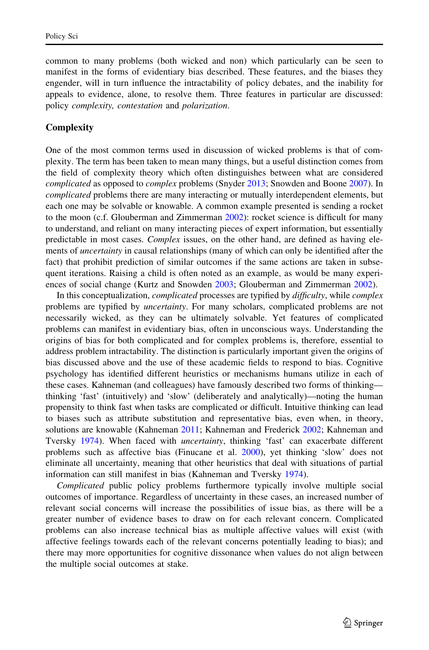common to many problems (both wicked and non) which particularly can be seen to manifest in the forms of evidentiary bias described. These features, and the biases they engender, will in turn influence the intractability of policy debates, and the inability for appeals to evidence, alone, to resolve them. Three features in particular are discussed: policy complexity, contestation and polarization.

#### **Complexity**

One of the most common terms used in discussion of wicked problems is that of complexity. The term has been taken to mean many things, but a useful distinction comes from the field of complexity theory which often distinguishes between what are considered complicated as opposed to *complex* problems (Snyder [2013](#page-21-0); Snowden and Boone [2007\)](#page-21-0). In complicated problems there are many interacting or mutually interdependent elements, but each one may be solvable or knowable. A common example presented is sending a rocket to the moon (c.f. Glouberman and Zimmerman [2002\)](#page-19-0): rocket science is difficult for many to understand, and reliant on many interacting pieces of expert information, but essentially predictable in most cases. Complex issues, on the other hand, are defined as having elements of *uncertainty* in causal relationships (many of which can only be identified after the fact) that prohibit prediction of similar outcomes if the same actions are taken in subsequent iterations. Raising a child is often noted as an example, as would be many experiences of social change (Kurtz and Snowden [2003](#page-20-0); Glouberman and Zimmerman [2002\)](#page-19-0).

In this conceptualization, complicated processes are typified by difficulty, while complex problems are typified by uncertainty. For many scholars, complicated problems are not necessarily wicked, as they can be ultimately solvable. Yet features of complicated problems can manifest in evidentiary bias, often in unconscious ways. Understanding the origins of bias for both complicated and for complex problems is, therefore, essential to address problem intractability. The distinction is particularly important given the origins of bias discussed above and the use of these academic fields to respond to bias. Cognitive psychology has identified different heuristics or mechanisms humans utilize in each of these cases. Kahneman (and colleagues) have famously described two forms of thinking thinking 'fast' (intuitively) and 'slow' (deliberately and analytically)—noting the human propensity to think fast when tasks are complicated or difficult. Intuitive thinking can lead to biases such as attribute substitution and representative bias, even when, in theory, solutions are knowable (Kahneman [2011;](#page-19-0) Kahneman and Frederick [2002](#page-19-0); Kahneman and Tversky [1974](#page-19-0)). When faced with uncertainty, thinking 'fast' can exacerbate different problems such as affective bias (Finucane et al. [2000\)](#page-19-0), yet thinking 'slow' does not eliminate all uncertainty, meaning that other heuristics that deal with situations of partial information can still manifest in bias (Kahneman and Tversky [1974\)](#page-19-0).

Complicated public policy problems furthermore typically involve multiple social outcomes of importance. Regardless of uncertainty in these cases, an increased number of relevant social concerns will increase the possibilities of issue bias, as there will be a greater number of evidence bases to draw on for each relevant concern. Complicated problems can also increase technical bias as multiple affective values will exist (with affective feelings towards each of the relevant concerns potentially leading to bias); and there may more opportunities for cognitive dissonance when values do not align between the multiple social outcomes at stake.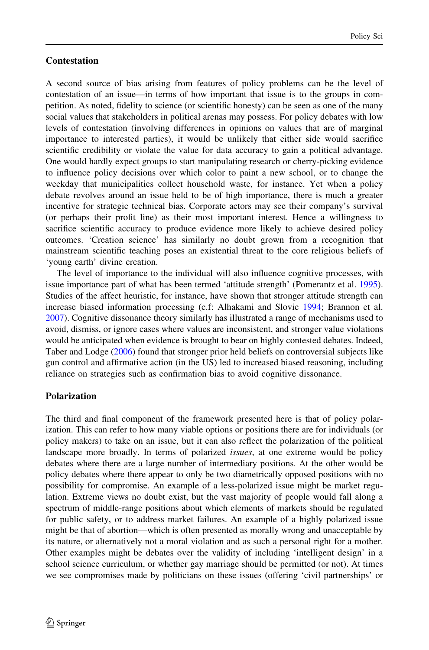#### **Contestation**

A second source of bias arising from features of policy problems can be the level of contestation of an issue—in terms of how important that issue is to the groups in competition. As noted, fidelity to science (or scientific honesty) can be seen as one of the many social values that stakeholders in political arenas may possess. For policy debates with low levels of contestation (involving differences in opinions on values that are of marginal importance to interested parties), it would be unlikely that either side would sacrifice scientific credibility or violate the value for data accuracy to gain a political advantage. One would hardly expect groups to start manipulating research or cherry-picking evidence to influence policy decisions over which color to paint a new school, or to change the weekday that municipalities collect household waste, for instance. Yet when a policy debate revolves around an issue held to be of high importance, there is much a greater incentive for strategic technical bias. Corporate actors may see their company's survival (or perhaps their profit line) as their most important interest. Hence a willingness to sacrifice scientific accuracy to produce evidence more likely to achieve desired policy outcomes. 'Creation science' has similarly no doubt grown from a recognition that mainstream scientific teaching poses an existential threat to the core religious beliefs of 'young earth' divine creation.

The level of importance to the individual will also influence cognitive processes, with issue importance part of what has been termed 'attitude strength' (Pomerantz et al. [1995](#page-20-0)). Studies of the affect heuristic, for instance, have shown that stronger attitude strength can increase biased information processing (c.f: Alhakami and Slovic [1994](#page-18-0); Brannon et al. [2007\)](#page-18-0). Cognitive dissonance theory similarly has illustrated a range of mechanisms used to avoid, dismiss, or ignore cases where values are inconsistent, and stronger value violations would be anticipated when evidence is brought to bear on highly contested debates. Indeed, Taber and Lodge ([2006\)](#page-21-0) found that stronger prior held beliefs on controversial subjects like gun control and affirmative action (in the US) led to increased biased reasoning, including reliance on strategies such as confirmation bias to avoid cognitive dissonance.

#### Polarization

The third and final component of the framework presented here is that of policy polarization. This can refer to how many viable options or positions there are for individuals (or policy makers) to take on an issue, but it can also reflect the polarization of the political landscape more broadly. In terms of polarized issues, at one extreme would be policy debates where there are a large number of intermediary positions. At the other would be policy debates where there appear to only be two diametrically opposed positions with no possibility for compromise. An example of a less-polarized issue might be market regulation. Extreme views no doubt exist, but the vast majority of people would fall along a spectrum of middle-range positions about which elements of markets should be regulated for public safety, or to address market failures. An example of a highly polarized issue might be that of abortion—which is often presented as morally wrong and unacceptable by its nature, or alternatively not a moral violation and as such a personal right for a mother. Other examples might be debates over the validity of including 'intelligent design' in a school science curriculum, or whether gay marriage should be permitted (or not). At times we see compromises made by politicians on these issues (offering 'civil partnerships' or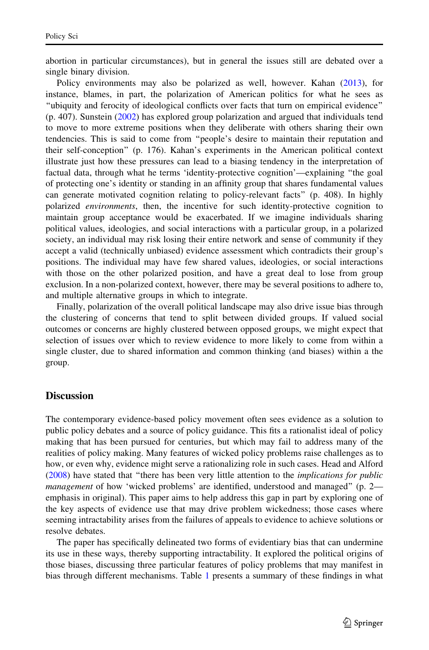abortion in particular circumstances), but in general the issues still are debated over a single binary division.

Policy environments may also be polarized as well, however. Kahan ([2013\)](#page-19-0), for instance, blames, in part, the polarization of American politics for what he sees as ''ubiquity and ferocity of ideological conflicts over facts that turn on empirical evidence'' (p. 407). Sunstein ([2002\)](#page-21-0) has explored group polarization and argued that individuals tend to move to more extreme positions when they deliberate with others sharing their own tendencies. This is said to come from ''people's desire to maintain their reputation and their self-conception'' (p. 176). Kahan's experiments in the American political context illustrate just how these pressures can lead to a biasing tendency in the interpretation of factual data, through what he terms 'identity-protective cognition'—explaining ''the goal of protecting one's identity or standing in an affinity group that shares fundamental values can generate motivated cognition relating to policy-relevant facts'' (p. 408). In highly polarized *environments*, then, the incentive for such identity-protective cognition to maintain group acceptance would be exacerbated. If we imagine individuals sharing political values, ideologies, and social interactions with a particular group, in a polarized society, an individual may risk losing their entire network and sense of community if they accept a valid (technically unbiased) evidence assessment which contradicts their group's positions. The individual may have few shared values, ideologies, or social interactions with those on the other polarized position, and have a great deal to lose from group exclusion. In a non-polarized context, however, there may be several positions to adhere to, and multiple alternative groups in which to integrate.

Finally, polarization of the overall political landscape may also drive issue bias through the clustering of concerns that tend to split between divided groups. If valued social outcomes or concerns are highly clustered between opposed groups, we might expect that selection of issues over which to review evidence to more likely to come from within a single cluster, due to shared information and common thinking (and biases) within a the group.

#### **Discussion**

The contemporary evidence-based policy movement often sees evidence as a solution to public policy debates and a source of policy guidance. This fits a rationalist ideal of policy making that has been pursued for centuries, but which may fail to address many of the realities of policy making. Many features of wicked policy problems raise challenges as to how, or even why, evidence might serve a rationalizing role in such cases. Head and Alford ([2008\)](#page-19-0) have stated that ''there has been very little attention to the implications for public management of how 'wicked problems' are identified, understood and managed" (p. 2 emphasis in original). This paper aims to help address this gap in part by exploring one of the key aspects of evidence use that may drive problem wickedness; those cases where seeming intractability arises from the failures of appeals to evidence to achieve solutions or resolve debates.

The paper has specifically delineated two forms of evidentiary bias that can undermine its use in these ways, thereby supporting intractability. It explored the political origins of those biases, discussing three particular features of policy problems that may manifest in bias through different mechanisms. Table [1](#page-16-0) presents a summary of these findings in what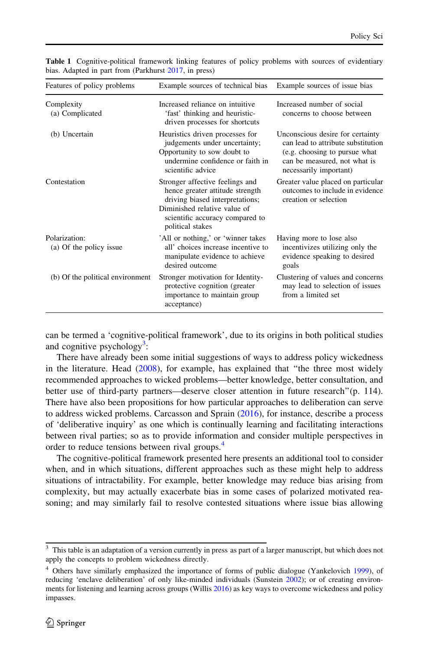| Features of policy problems              | Example sources of technical bias                                                                                                                                                            | Example sources of issue bias                                                                                                                                     |
|------------------------------------------|----------------------------------------------------------------------------------------------------------------------------------------------------------------------------------------------|-------------------------------------------------------------------------------------------------------------------------------------------------------------------|
| Complexity<br>(a) Complicated            | Increased reliance on intuitive<br>'fast' thinking and heuristic-<br>driven processes for shortcuts                                                                                          | Increased number of social<br>concerns to choose between                                                                                                          |
| (b) Uncertain                            | Heuristics driven processes for<br>judgements under uncertainty;<br>Opportunity to sow doubt to<br>undermine confidence or faith in<br>scientific advice                                     | Unconscious desire for certainty<br>can lead to attribute substitution<br>(e.g. choosing to pursue what<br>can be measured, not what is<br>necessarily important) |
| Contestation                             | Stronger affective feelings and<br>hence greater attitude strength<br>driving biased interpretations;<br>Diminished relative value of<br>scientific accuracy compared to<br>political stakes | Greater value placed on particular<br>outcomes to include in evidence<br>creation or selection                                                                    |
| Polarization:<br>(a) Of the policy issue | 'All or nothing,' or 'winner takes'<br>all' choices increase incentive to<br>manipulate evidence to achieve<br>desired outcome                                                               | Having more to lose also<br>incentivizes utilizing only the<br>evidence speaking to desired<br>goals                                                              |
| (b) Of the political environment         | Stronger motivation for Identity-<br>protective cognition (greater<br>importance to maintain group<br>acceptance)                                                                            | Clustering of values and concerns<br>may lead to selection of issues<br>from a limited set                                                                        |

<span id="page-16-0"></span>Table 1 Cognitive-political framework linking features of policy problems with sources of evidentiary bias. Adapted in part from (Parkhurst [2017,](#page-20-0) in press)

can be termed a 'cognitive-political framework', due to its origins in both political studies and cognitive psychology<sup>3</sup>:

There have already been some initial suggestions of ways to address policy wickedness in the literature. Head ([2008\)](#page-19-0), for example, has explained that ''the three most widely recommended approaches to wicked problems—better knowledge, better consultation, and better use of third-party partners—deserve closer attention in future research''(p. 114). There have also been propositions for how particular approaches to deliberation can serve to address wicked problems. Carcasson and Sprain [\(2016](#page-18-0)), for instance, describe a process of 'deliberative inquiry' as one which is continually learning and facilitating interactions between rival parties; so as to provide information and consider multiple perspectives in order to reduce tensions between rival groups.<sup>4</sup>

The cognitive-political framework presented here presents an additional tool to consider when, and in which situations, different approaches such as these might help to address situations of intractability. For example, better knowledge may reduce bias arising from complexity, but may actually exacerbate bias in some cases of polarized motivated reasoning; and may similarly fail to resolve contested situations where issue bias allowing

<sup>3</sup> This table is an adaptation of a version currently in press as part of a larger manuscript, but which does not apply the concepts to problem wickedness directly.

<sup>&</sup>lt;sup>4</sup> Others have similarly emphasized the importance of forms of public dialogue (Yankelovich [1999](#page-21-0)), of reducing 'enclave deliberation' of only like-minded individuals (Sunstein [2002\)](#page-21-0); or of creating environments for listening and learning across groups (Willis [2016\)](#page-21-0) as key ways to overcome wickedness and policy impasses.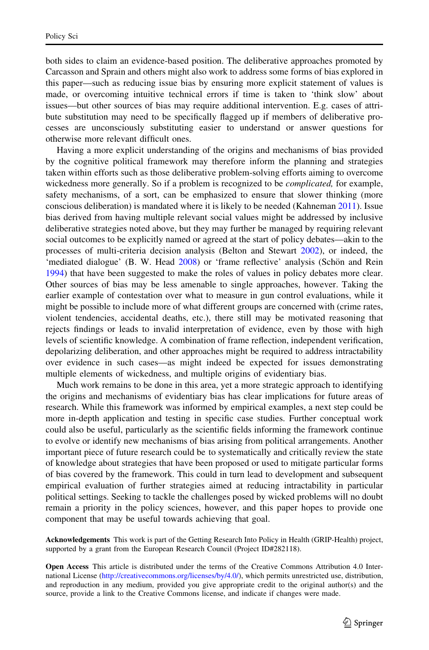both sides to claim an evidence-based position. The deliberative approaches promoted by Carcasson and Sprain and others might also work to address some forms of bias explored in this paper—such as reducing issue bias by ensuring more explicit statement of values is made, or overcoming intuitive technical errors if time is taken to 'think slow' about issues—but other sources of bias may require additional intervention. E.g. cases of attribute substitution may need to be specifically flagged up if members of deliberative processes are unconsciously substituting easier to understand or answer questions for otherwise more relevant difficult ones.

Having a more explicit understanding of the origins and mechanisms of bias provided by the cognitive political framework may therefore inform the planning and strategies taken within efforts such as those deliberative problem-solving efforts aiming to overcome wickedness more generally. So if a problem is recognized to be *complicated*, for example, safety mechanisms, of a sort, can be emphasized to ensure that slower thinking (more conscious deliberation) is mandated where it is likely to be needed (Kahneman [2011](#page-19-0)). Issue bias derived from having multiple relevant social values might be addressed by inclusive deliberative strategies noted above, but they may further be managed by requiring relevant social outcomes to be explicitly named or agreed at the start of policy debates—akin to the processes of multi-criteria decision analysis (Belton and Stewart [2002](#page-18-0)), or indeed, the 'mediated dialogue' (B. W. Head [2008\)](#page-19-0) or 'frame reflective' analysis (Schön and Rein [1994\)](#page-21-0) that have been suggested to make the roles of values in policy debates more clear. Other sources of bias may be less amenable to single approaches, however. Taking the earlier example of contestation over what to measure in gun control evaluations, while it might be possible to include more of what different groups are concerned with (crime rates, violent tendencies, accidental deaths, etc.), there still may be motivated reasoning that rejects findings or leads to invalid interpretation of evidence, even by those with high levels of scientific knowledge. A combination of frame reflection, independent verification, depolarizing deliberation, and other approaches might be required to address intractability over evidence in such cases—as might indeed be expected for issues demonstrating multiple elements of wickedness, and multiple origins of evidentiary bias.

Much work remains to be done in this area, yet a more strategic approach to identifying the origins and mechanisms of evidentiary bias has clear implications for future areas of research. While this framework was informed by empirical examples, a next step could be more in-depth application and testing in specific case studies. Further conceptual work could also be useful, particularly as the scientific fields informing the framework continue to evolve or identify new mechanisms of bias arising from political arrangements. Another important piece of future research could be to systematically and critically review the state of knowledge about strategies that have been proposed or used to mitigate particular forms of bias covered by the framework. This could in turn lead to development and subsequent empirical evaluation of further strategies aimed at reducing intractability in particular political settings. Seeking to tackle the challenges posed by wicked problems will no doubt remain a priority in the policy sciences, however, and this paper hopes to provide one component that may be useful towards achieving that goal.

Acknowledgements This work is part of the Getting Research Into Policy in Health (GRIP-Health) project, supported by a grant from the European Research Council (Project ID#282118).

Open Access This article is distributed under the terms of the Creative Commons Attribution 4.0 International License [\(http://creativecommons.org/licenses/by/4.0/\)](http://creativecommons.org/licenses/by/4.0/), which permits unrestricted use, distribution, and reproduction in any medium, provided you give appropriate credit to the original author(s) and the source, provide a link to the Creative Commons license, and indicate if changes were made.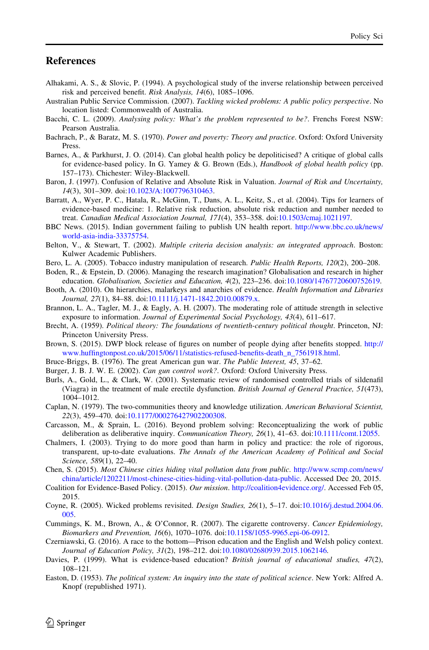#### <span id="page-18-0"></span>References

- Alhakami, A. S., & Slovic, P. (1994). A psychological study of the inverse relationship between perceived risk and perceived benefit. Risk Analysis, 14(6), 1085–1096.
- Australian Public Service Commission. (2007). Tackling wicked problems: A public policy perspective. No location listed: Commonwealth of Australia.
- Bacchi, C. L. (2009). Analysing policy: What's the problem represented to be?. Frenchs Forest NSW: Pearson Australia.
- Bachrach, P., & Baratz, M. S. (1970). Power and poverty: Theory and practice. Oxford: Oxford University Press.
- Barnes, A., & Parkhurst, J. O. (2014). Can global health policy be depoliticised? A critique of global calls for evidence-based policy. In G. Yamey & G. Brown (Eds.), Handbook of global health policy (pp. 157–173). Chichester: Wiley-Blackwell.
- Baron, J. (1997). Confusion of Relative and Absolute Risk in Valuation. Journal of Risk and Uncertainty, 14(3), 301–309. doi:[10.1023/A:1007796310463](http://dx.doi.org/10.1023/A:1007796310463).
- Barratt, A., Wyer, P. C., Hatala, R., McGinn, T., Dans, A. L., Keitz, S., et al. (2004). Tips for learners of evidence-based medicine: 1. Relative risk reduction, absolute risk reduction and number needed to treat. Canadian Medical Association Journal, 171(4), 353–358. doi[:10.1503/cmaj.1021197.](http://dx.doi.org/10.1503/cmaj.1021197)
- BBC News. (2015). Indian government failing to publish UN health report. [http://www.bbc.co.uk/news/](http://www.bbc.co.uk/news/world-asia-india-33375754) [world-asia-india-33375754](http://www.bbc.co.uk/news/world-asia-india-33375754).
- Belton, V., & Stewart, T. (2002). Multiple criteria decision analysis: an integrated approach. Boston: Kulwer Academic Publishers.
- Bero, L. A. (2005). Tobacco industry manipulation of research. Public Health Reports, 120(2), 200-208.
- Boden, R., & Epstein, D. (2006). Managing the research imagination? Globalisation and research in higher education. Globalisation, Societies and Education, 4(2), 223–236. doi:[10.1080/14767720600752619](http://dx.doi.org/10.1080/14767720600752619).
- Booth, A. (2010). On hierarchies, malarkeys and anarchies of evidence. Health Information and Libraries Journal, 27(1), 84–88. doi:[10.1111/j.1471-1842.2010.00879.x](http://dx.doi.org/10.1111/j.1471-1842.2010.00879.x).
- Brannon, L. A., Tagler, M. J., & Eagly, A. H. (2007). The moderating role of attitude strength in selective exposure to information. Journal of Experimental Social Psychology, 43(4), 611–617.
- Brecht, A. (1959). Political theory: The foundations of twentieth-century political thought. Princeton, NJ: Princeton University Press.
- Brown, S. (2015). DWP block release of figures on number of people dying after benefits stopped. [http://](http://www.huffingtonpost.co.uk/2015/06/11/statistics-refused-benefits-death_n_7561918.html) [www.huffingtonpost.co.uk/2015/06/11/statistics-refused-benefits-death\\_n\\_7561918.html.](http://www.huffingtonpost.co.uk/2015/06/11/statistics-refused-benefits-death_n_7561918.html)
- Bruce-Briggs, B. (1976). The great American gun war. The Public Interest, 45, 37–62.
- Burger, J. B. J. W. E. (2002). Can gun control work?. Oxford: Oxford University Press.
- Burls, A., Gold, L., & Clark, W. (2001). Systematic review of randomised controlled trials of sildenafil (Viagra) in the treatment of male erectile dysfunction. British Journal of General Practice, 51(473), 1004–1012.
- Caplan, N. (1979). The two-communities theory and knowledge utilization. American Behavioral Scientist, 22(3), 459–470. doi:[10.1177/000276427902200308](http://dx.doi.org/10.1177/000276427902200308).
- Carcasson, M., & Sprain, L. (2016). Beyond problem solving: Reconceptualizing the work of public deliberation as deliberative inquiry. Communication Theory, 26(1), 41–63. doi[:10.1111/comt.12055](http://dx.doi.org/10.1111/comt.12055).
- Chalmers, I. (2003). Trying to do more good than harm in policy and practice: the role of rigorous, transparent, up-to-date evaluations. The Annals of the American Academy of Political and Social Science, 589(1), 22–40.
- Chen, S. (2015). Most Chinese cities hiding vital pollution data from public. [http://www.scmp.com/news/](http://www.scmp.com/news/china/article/1202211/most-chinese-cities-hiding-vital-pollution-data-public) [china/article/1202211/most-chinese-cities-hiding-vital-pollution-data-public](http://www.scmp.com/news/china/article/1202211/most-chinese-cities-hiding-vital-pollution-data-public). Accessed Dec 20, 2015.
- Coalition for Evidence-Based Policy. (2015). Our mission. [http://coalition4evidence.org/.](http://coalition4evidence.org/) Accessed Feb 05, 2015.
- Coyne, R. (2005). Wicked problems revisited. Design Studies, 26(1), 5–17. doi:[10.1016/j.destud.2004.06.](http://dx.doi.org/10.1016/j.destud.2004.06.005) [005.](http://dx.doi.org/10.1016/j.destud.2004.06.005)
- Cummings, K. M., Brown, A., & O'Connor, R. (2007). The cigarette controversy. Cancer Epidemiology, Biomarkers and Prevention, 16(6), 1070–1076. doi[:10.1158/1055-9965.epi-06-0912.](http://dx.doi.org/10.1158/1055-9965.epi-06-0912)
- Czerniawski, G. (2016). A race to the bottom—Prison education and the English and Welsh policy context. Journal of Education Policy, 31(2), 198–212. doi[:10.1080/02680939.2015.1062146.](http://dx.doi.org/10.1080/02680939.2015.1062146)
- Davies, P. (1999). What is evidence-based education? British journal of educational studies, 47(2), 108–121.
- Easton, D. (1953). The political system: An inquiry into the state of political science. New York: Alfred A. Knopf (republished 1971).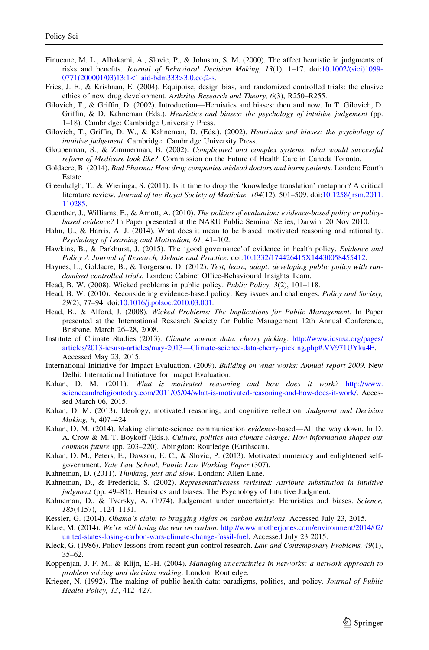- <span id="page-19-0"></span>Finucane, M. L., Alhakami, A., Slovic, P., & Johnson, S. M. (2000). The affect heuristic in judgments of risks and benefits. Journal of Behavioral Decision Making, 13(1), 1–17. doi:[10.1002/\(sici\)1099-](http://dx.doi.org/10.1002/(sici)1099-0771(200001/03)13:1%3c1:aid-bdm333%3e3.0.co;2-s)  $0771(200001/03)13:1<1$  $0771(200001/03)13:1<1$ :aid-bdm333>3.0.co;2-s.
- Fries, J. F., & Krishnan, E. (2004). Equipoise, design bias, and randomized controlled trials: the elusive ethics of new drug development. Arthritis Research and Theory, 6(3), R250–R255.
- Gilovich, T., & Griffin, D. (2002). Introduction—Heruistics and biases: then and now. In T. Gilovich, D. Griffin, & D. Kahneman (Eds.), *Heuristics and biases: the psychology of intuitive judgement* (pp. 1–18). Cambridge: Cambridge University Press.
- Gilovich, T., Griffin, D. W., & Kahneman, D. (Eds.). (2002). Heuristics and biases: the psychology of intuitive judgement. Cambridge: Cambridge University Press.
- Glouberman, S., & Zimmerman, B. (2002). Complicated and complex systems: what would successful reform of Medicare look like?: Commission on the Future of Health Care in Canada Toronto.
- Goldacre, B. (2014). Bad Pharma: How drug companies mislead doctors and harm patients. London: Fourth Estate.
- Greenhalgh, T., & Wieringa, S. (2011). Is it time to drop the 'knowledge translation' metaphor? A critical literature review. Journal of the Royal Society of Medicine, 104(12), 501–509. doi:[10.1258/jrsm.2011.](http://dx.doi.org/10.1258/jrsm.2011.110285) [110285.](http://dx.doi.org/10.1258/jrsm.2011.110285)
- Guenther, J., Williams, E., & Arnott, A. (2010). The politics of evaluation: evidence-based policy or policybased evidence? In Paper presented at the NARU Public Seminar Series, Darwin, 20 Nov 2010.
- Hahn, U., & Harris, A. J. (2014). What does it mean to be biased: motivated reasoning and rationality. Psychology of Learning and Motivation, 61, 41–102.
- Hawkins, B., & Parkhurst, J. (2015). The 'good governance' of evidence in health policy. Evidence and Policy A Journal of Research, Debate and Practice. doi[:10.1332/174426415X14430058455412.](http://dx.doi.org/10.1332/174426415X14430058455412)
- Haynes, L., Goldacre, B., & Torgerson, D. (2012). Test, learn, adapt: developing public policy with randomised controlled trials. London: Cabinet Office-Behavioural Insights Team.
- Head, B. W. (2008). Wicked problems in public policy. Public Policy, 3(2), 101–118.
- Head, B. W. (2010). Reconsidering evidence-based policy: Key issues and challenges. Policy and Society, 29(2), 77–94. doi:[10.1016/j.polsoc.2010.03.001](http://dx.doi.org/10.1016/j.polsoc.2010.03.001).
- Head, B., & Alford, J. (2008). Wicked Problems: The Implications for Public Management. In Paper presented at the International Research Society for Public Management 12th Annual Conference, Brisbane, March 26–28, 2008.
- Institute of Climate Studies (2013). Climate science data: cherry picking. [http://www.icsusa.org/pages/](http://www.icsusa.org/pages/articles/2013-icsusa-articles/may-2013%e2%80%94Climate-science-data-cherry-picking.php%23.VV971UYku4E) [articles/2013-icsusa-articles/may-2013—Climate-science-data-cherry-picking.php#.VV971UYku4E.](http://www.icsusa.org/pages/articles/2013-icsusa-articles/may-2013%e2%80%94Climate-science-data-cherry-picking.php%23.VV971UYku4E) Accessed May 23, 2015.
- International Initiative for Impact Evaluation. (2009). Building on what works: Annual report 2009. New Delhi: International Initiatuve for Imapct Evaluation.
- Kahan, D. M. (2011). What is motivated reasoning and how does it work? [http://www.](http://www.scienceandreligiontoday.com/2011/05/04/what-is-motivated-reasoning-and-how-does-it-work/) [scienceandreligiontoday.com/2011/05/04/what-is-motivated-reasoning-and-how-does-it-work/](http://www.scienceandreligiontoday.com/2011/05/04/what-is-motivated-reasoning-and-how-does-it-work/). Accessed March 06, 2015.
- Kahan, D. M. (2013). Ideology, motivated reasoning, and cognitive reflection. Judgment and Decision Making, 8, 407–424.
- Kahan, D. M. (2014). Making climate-science communication *evidence*-based—All the way down. In D. A. Crow & M. T. Boykoff (Eds.), Culture, politics and climate change: How information shapes our common future (pp. 203–220). Abingdon: Routledge (Earthscan).
- Kahan, D. M., Peters, E., Dawson, E. C., & Slovic, P. (2013). Motivated numeracy and enlightened selfgovernment. Yale Law School, Public Law Working Paper (307).
- Kahneman, D. (2011). Thinking, fast and slow. London: Allen Lane.
- Kahneman, D., & Frederick, S. (2002). Representativeness revisited: Attribute substitution in intuitive judgment (pp. 49–81). Heuristics and biases: The Psychology of Intuitive Judgment.
- Kahneman, D., & Tversky, A. (1974). Judgement under uncertainty: Heruristics and biases. Science, 185(4157), 1124–1131.
- Kessler, G. (2014). Obama's claim to bragging rights on carbon emissions. Accessed July 23, 2015.
- Klare, M. (2014). We're still losing the war on carbon. [http://www.motherjones.com/environment/2014/02/](http://www.motherjones.com/environment/2014/02/united-states-losing-carbon-wars-climate-change-fossil-fuel) [united-states-losing-carbon-wars-climate-change-fossil-fuel.](http://www.motherjones.com/environment/2014/02/united-states-losing-carbon-wars-climate-change-fossil-fuel) Accessed July 23 2015.
- Kleck, G. (1986). Policy lessons from recent gun control research. Law and Contemporary Problems, 49(1), 35–62.
- Koppenjan, J. F. M., & Klijn, E.-H. (2004). Managing uncertainties in networks: a network approach to problem solving and decision making. London: Routledge.
- Krieger, N. (1992). The making of public health data: paradigms, politics, and policy. Journal of Public Health Policy, 13, 412–427.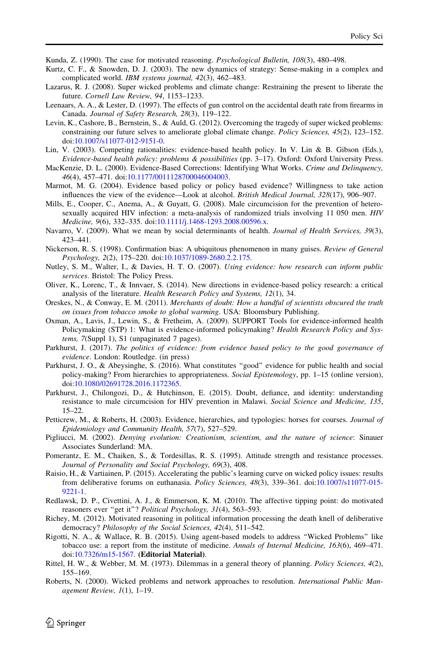<span id="page-20-0"></span>Kunda, Z. (1990). The case for motivated reasoning. Psychological Bulletin, 108(3), 480–498.

- Kurtz, C. F., & Snowden, D. J. (2003). The new dynamics of strategy: Sense-making in a complex and complicated world. IBM systems journal, 42(3), 462–483.
- Lazarus, R. J. (2008). Super wicked problems and climate change: Restraining the present to liberate the future. Cornell Law Review, 94, 1153–1233.
- Leenaars, A. A., & Lester, D. (1997). The effects of gun control on the accidental death rate from firearms in Canada. Journal of Safety Research, 28(3), 119–122.
- Levin, K., Cashore, B., Bernstein, S., & Auld, G. (2012). Overcoming the tragedy of super wicked problems: constraining our future selves to ameliorate global climate change. Policy Sciences, 45(2), 123–152. doi[:10.1007/s11077-012-9151-0.](http://dx.doi.org/10.1007/s11077-012-9151-0)
- Lin, V. (2003). Competing rationalities: evidence-based health policy. In V. Lin & B. Gibson (Eds.), Evidence-based health policy: problems & possibilities (pp. 3–17). Oxford: Oxford University Press.
- MacKenzie, D. L. (2000). Evidence-Based Corrections: Identifying What Works. Crime and Delinquency, 46(4), 457–471. doi:[10.1177/0011128700046004003](http://dx.doi.org/10.1177/0011128700046004003).
- Marmot, M. G. (2004). Evidence based policy or policy based evidence? Willingness to take action influences the view of the evidence—Look at alcohol. British Medical Journal, 328(17), 906–907.
- Mills, E., Cooper, C., Anema, A., & Guyatt, G. (2008). Male circumcision for the prevention of heterosexually acquired HIV infection: a meta-analysis of randomized trials involving 11 050 men. HIV Medicine, 9(6), 332–335. doi:[10.1111/j.1468-1293.2008.00596.x](http://dx.doi.org/10.1111/j.1468-1293.2008.00596.x).
- Navarro, V. (2009). What we mean by social determinants of health. Journal of Health Services, 39(3), 423–441.
- Nickerson, R. S. (1998). Confirmation bias: A ubiquitous phenomenon in many guises. Review of General Psychology, 2(2), 175–220. doi:[10.1037/1089-2680.2.2.175](http://dx.doi.org/10.1037/1089-2680.2.2.175).
- Nutley, S. M., Walter, I., & Davies, H. T. O. (2007). Using evidence: how research can inform public services. Bristol: The Policy Press.
- Oliver, K., Lorenc, T., & Innvaer, S. (2014). New directions in evidence-based policy research: a critical analysis of the literature. Health Research Policy and Systems, 12(1), 34.
- Oreskes, N., & Conway, E. M. (2011). Merchants of doubt: How a handful of scientists obscured the truth on issues from tobacco smoke to global warming. USA: Bloomsbury Publishing.
- Oxman, A., Lavis, J., Lewin, S., & Fretheim, A. (2009). SUPPORT Tools for evidence-informed health Policymaking (STP) 1: What is evidence-informed policymaking? Health Research Policy and Systems, 7(Suppl 1), S1 (unpaginated 7 pages).
- Parkhurst, J. (2017). The politics of evidence: from evidence based policy to the good governance of evidence. London: Routledge. (in press)
- Parkhurst, J. O., & Abeysinghe, S. (2016). What constitutes ''good'' evidence for public health and social policy-making? From hierarchies to appropriateness. Social Epistemology, pp. 1–15 (online version), doi[:10.1080/02691728.2016.1172365.](http://dx.doi.org/10.1080/02691728.2016.1172365)
- Parkhurst, J., Chilongozi, D., & Hutchinson, E. (2015). Doubt, defiance, and identity: understanding resistance to male circumcision for HIV prevention in Malawi. Social Science and Medicine, 135, 15–22.
- Petticrew, M., & Roberts, H. (2003). Evidence, hierarchies, and typologies: horses for courses. Journal of Epidemiology and Community Health, 57(7), 527–529.
- Pigliucci, M. (2002). Denying evolution: Creationism, scientism, and the nature of science: Sinauer Associates Sunderland: MA.
- Pomerantz, E. M., Chaiken, S., & Tordesillas, R. S. (1995). Attitude strength and resistance processes. Journal of Personality and Social Psychology, 69(3), 408.
- Raisio, H., & Vartiainen, P. (2015). Accelerating the public's learning curve on wicked policy issues: results from deliberative forums on euthanasia. Policy Sciences, 48(3), 339–361. doi[:10.1007/s11077-015-](http://dx.doi.org/10.1007/s11077-015-9221-1) [9221-1](http://dx.doi.org/10.1007/s11077-015-9221-1).
- Redlawsk, D. P., Civettini, A. J., & Emmerson, K. M. (2010). The affective tipping point: do motivated reasoners ever "get it"? Political Psychology, 31(4), 563-593.
- Richey, M. (2012). Motivated reasoning in political information processing the death knell of deliberative democracy? Philosophy of the Social Sciences, 42(4), 511–542.
- Rigotti, N. A., & Wallace, R. B. (2015). Using agent-based models to address ''Wicked Problems'' like tobacco use: a report from the institute of medicine. Annals of Internal Medicine, 163(6), 469–471. doi[:10.7326/m15-1567.](http://dx.doi.org/10.7326/m15-1567) (Editorial Material).
- Rittel, H. W., & Webber, M. M. (1973). Dilemmas in a general theory of planning. Policy Sciences, 4(2), 155–169.
- Roberts, N. (2000). Wicked problems and network approaches to resolution. *International Public Man*agement Review, 1(1), 1–19.